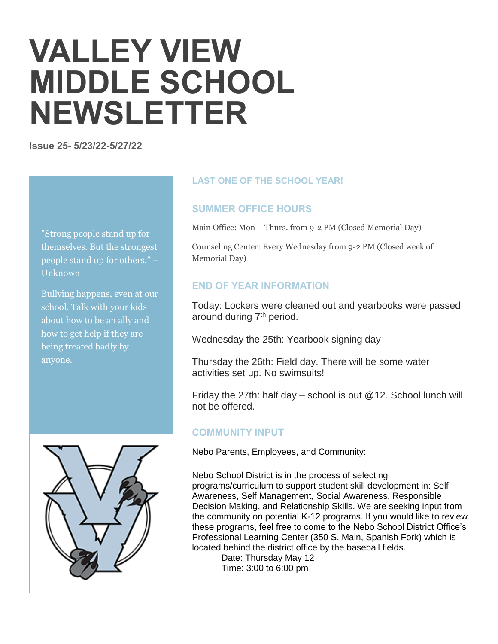# **VALLEY VIEW MIDDLE SCHOOL NEWSLETTER**

**Issue 25- 5/23/22-5/27/22**

"Strong people stand up for themselves. But the strongest people stand up for others." – Unknown

Bullying happens, even at our school. Talk with your kids about how to be an ally and how to get help if they are being treated badly by anyone.



## **LAST ONE OF THE SCHOOL YEAR!**

## **SUMMER OFFICE HOURS**

Main Office: Mon – Thurs. from 9-2 PM (Closed Memorial Day)

Counseling Center: Every Wednesday from 9-2 PM (Closed week of Memorial Day)

## **END OF YEAR INFORMATION**

Today: Lockers were cleaned out and yearbooks were passed around during 7<sup>th</sup> period.

Wednesday the 25th: Yearbook signing day

Thursday the 26th: Field day. There will be some water activities set up. No swimsuits!

Friday the 27th: half day  $-$  school is out  $@12$ . School lunch will not be offered.

## **COMMUNITY INPUT**

Nebo Parents, Employees, and Community:

Nebo School District is in the process of selecting programs/curriculum to support student skill development in: Self Awareness, Self Management, Social Awareness, Responsible Decision Making, and Relationship Skills. We are seeking input from the community on potential K-12 programs. If you would like to review these programs, feel free to come to the Nebo School District Office's Professional Learning Center (350 S. Main, Spanish Fork) which is located behind the district office by the baseball fields.

Date: Thursday May 12 Time: 3:00 to 6:00 pm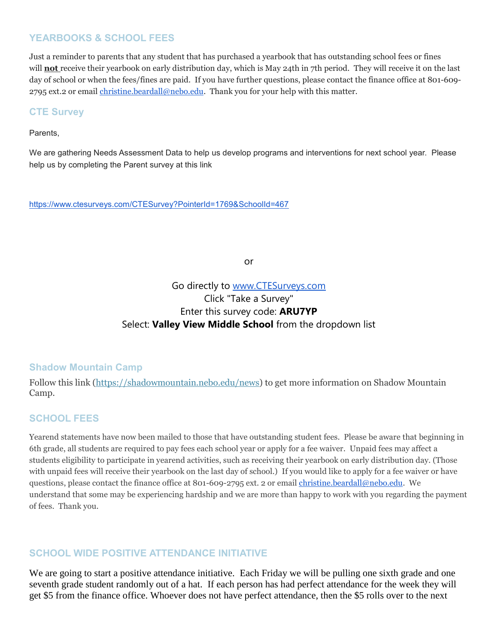## **YEARBOOKS & SCHOOL FEES**

Just a reminder to parents that any student that has purchased a yearbook that has outstanding school fees or fines will **not** receive their yearbook on early distribution day, which is May 24th in 7th period. They will receive it on the last day of school or when the fees/fines are paid. If you have further questions, please contact the finance office at 801-609- 2795 ext.2 or email [christine.beardall@nebo.edu.](mailto:christine.beardall@nebo.edu) Thank you for your help with this matter.

## **CTE Survey**

#### Parents,

We are gathering Needs Assessment Data to help us develop programs and interventions for next school year. Please help us by completing the Parent survey at this link

<https://www.ctesurveys.com/CTESurvey?PointerId=1769&SchoolId=467>

or

# Go directly to [www.CTESurveys.com](http://www.ctesurveys.com/) Click "Take a Survey" Enter this survey code: **ARU7YP** Select: **Valley View Middle School** from the dropdown list

#### **Shadow Mountain Camp**

Follow this link [\(https://shadowmountain.nebo.edu/news\)](https://shadowmountain.nebo.edu/news) to get more information on Shadow Mountain Camp.

## **SCHOOL FEES**

Yearend statements have now been mailed to those that have outstanding student fees. Please be aware that beginning in 6th grade, all students are required to pay fees each school year or apply for a fee waiver. Unpaid fees may affect a students eligibility to participate in yearend activities, such as receiving their yearbook on early distribution day. (Those with unpaid fees will receive their yearbook on the last day of school.) If you would like to apply for a fee waiver or have questions, please contact the finance office at 801-609-2795 ext. 2 or email [christine.beardall@nebo.edu.](mailto:christine.beardall@nebo.edu) We understand that some may be experiencing hardship and we are more than happy to work with you regarding the payment of fees. Thank you.

## **SCHOOL WIDE POSITIVE ATTENDANCE INITIATIVE**

We are going to start a positive attendance initiative. Each Friday we will be pulling one sixth grade and one seventh grade student randomly out of a hat. If each person has had perfect attendance for the week they will get \$5 from the finance office. Whoever does not have perfect attendance, then the \$5 rolls over to the next